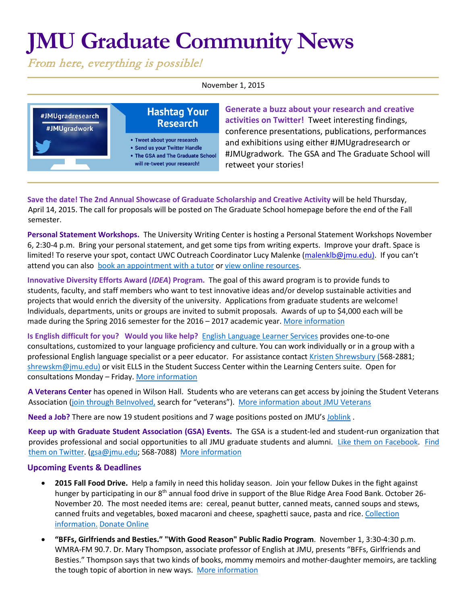## **JMU Graduate Community News**

From here, everything is possible!

November 1, 2015



**Generate a buzz about your research and creative activities on Twitter!** Tweet interesting findings, conference presentations, publications, performances and exhibitions using either #JMUgradresearch or #JMUgradwork. The GSA and The Graduate School will retweet your stories!

**Save the date! The 2nd Annual Showcase of Graduate Scholarship and Creative Activity** will be held Thursday, April 14, 2015. The call for proposals will be posted on The Graduate School homepage before the end of the Fall semester.

**Personal Statement Workshops.** The University Writing Center is hosting a Personal Statement Workshops November 6, 2:30-4 p.m. Bring your personal statement, and get some tips from writing experts. Improve your draft. Space is limited! To reserve your spot, contact UWC Outreach Coordinator Lucy Malenke [\(malenklb@jmu.edu\)](https://exchange.jmu.edu/owa/redir.aspx?SURL=CQ_u9lbvNE5YwrXMT4mNkFPB2qp2bDfx5G9EV4hiveQTY81QTcTSCG0AYQBpAGwAdABvADoAbQBhAGwAZQBuAGsAbABiAEAAagBtAHUALgBlAGQAdQA.&URL=mailto%3amalenklb%40jmu.edu). If you can't attend you can also [book an appointment with a tutor](http://www.jmu.edu/uwc/) or [view online resources.](http://www.jmu.edu/uwc/link-library/index.shtml)

**Innovative Diversity Efforts Award (***IDEA***) Program.** The goal of this award program is to provide funds to students, faculty, and staff members who want to test innovative ideas and/or develop sustainable activities and projects that would enrich the diversity of the university. Applications from graduate students are welcome! Individuals, departments, units or groups are invited to submit proposals. Awards of up to \$4,000 each will be made during the Spring 2016 semester for the 2016 – 2017 academic year. [More information](https://www.jmu.edu/diversity/programs-and-events/idea.shtml)

**Is English difficult for you? Would you like help?** [English Language Learner Services](http://www.jmu.edu/ells) provides one-to-one consultations, customized to your language proficiency and culture. You can work individually or in a group with a professional English language specialist or a peer educator. For assistance contact [Kristen Shrewsbury](http://www.jmu.edu/ells/about/our-faculty.shtml) (568-2881; [shrewskm@jmu.edu\)](mailto:shrewskm@jmu.edu) or visit ELLS in the Student Success Center within the Learning Centers suite. Open for consultations Monday – Friday[. More information](http://www.jmu.edu/ells)

**A Veterans Center** has opened in Wilson Hall. Students who are veterans can get access by joining the Student Veterans Association [\(join through BeInvolved,](https://beinvolved.jmu.edu/) search for "veterans"). [More information about JMU Veterans](http://www.jmu.edu/veterans/index.shtml)

**Need a Job?** There are now 19 student positions and 7 wage positions posted on JMU's [Joblink](https://joblink.jmu.edu/) [.](http://joblink.jmu.edu/) 

**Keep up with Graduate Student Association (GSA) Events.** The GSA is a student-led and student-run organization that provides professional and social opportunities to all JMU graduate students and alumni. [Like them on Facebook.](https://www.facebook.com/JMUGSA?fref=ts) [Find](https://twitter.com/JMUGSA) [them on Twitter. \(](https://twitter.com/JMUGSA)gsa@jmu.edu; 568-7088[\) More information](http://www.jmu.edu/grad/gsa/index.shtml) 

## **Upcoming Events & Deadlines**

- **2015 Fall Food Drive.** Help a family in need this holiday season. Join your fellow Dukes in the fight against hunger by participating in our  $8<sup>th</sup>$  annual food drive in support of the Blue Ridge Area Food Bank. October 26-November 20. The most needed items are: cereal, peanut butter, canned meats, canned soups and stews, canned fruits and vegetables, boxed macaroni and cheese, spaghetti sauce, pasta and rice. [Collection](https://www.jmu.edu/events/research/2015/10/26-event-food-drive-2015.shtml)  [information.](https://www.jmu.edu/events/research/2015/10/26-event-food-drive-2015.shtml) [Donate Online](http://vad.aidmatrix.org/vadxml.cfm?driveid=45571)
- **"BFFs, Girlfriends and Besties." "With Good Reason" Public Radio Program**. November 1, 3:30-4:30 p.m. WMRA-FM 90.7. Dr. Mary Thompson, associate professor of English at JMU, presents "BFFs, Girlfriends and Besties." Thompson says that two kinds of books, mommy memoirs and mother-daughter memoirs, are tackling the tough topic of abortion in new ways. [More information](http://withgoodreasonradio.org/)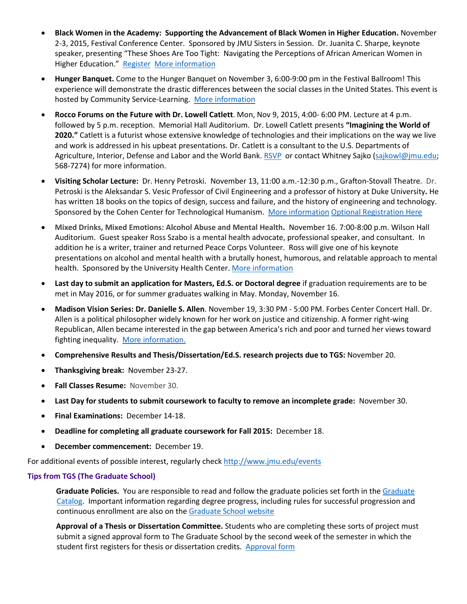- **Black Women in the Academy: Supporting the Advancement of Black Women in Higher Education.** November 2-3, 2015, Festival Conference Center. Sponsored by JMU Sisters in Session. Dr. Juanita C. Sharpe, keynote speaker, presenting "These Shoes Are Too Tight: Navigating the Perceptions of African American Women in Higher Education." [Register](https://aceware.jmu.edu/wconnect/CourseStatus.awp?&course=16FYCONF100A) [More information](http://brysonbj.wix.com/sistersnsession)
- **Hunger Banquet.** Come to the Hunger Banquet on November 3, 6:00-9:00 pm in the Festival Ballroom! This experience will demonstrate the drastic differences between the social classes in the United States. This event is hosted by Community Service-Learning. [More information](https://www.jmu.edu/events/csl/2014/11/04-hungerbanquet.shtml)
- **Rocco Forums on the Future with Dr. Lowell Catlett**. Mon, Nov 9, 2015, 4:00- 6:00 PM. Lecture at 4 p.m. followed by 5 p.m. reception. Memorial Hall Auditorium. Dr. Lowell Catlett presents **"Imagining the World of 2020."** Catlett is a futurist whose extensive knowledge of technologies and their implications on the way we live and work is addressed in his upbeat presentations. Dr. Catlett is a consultant to the U.S. Departments of Agriculture, Interior, Defense and Labor and the World Bank. [RSVP](http://advancement.jmu.edu/RoccoFall15) or contact Whitney Sajko [\(sajkowl@jmu.edu;](mailto:sajkowl@jmu.edu) 568-7274) for more information.
- **Visiting Scholar Lecture:** Dr. Henry Petroski. November 13, 11:00 a.m.-12:30 p.m., Grafton-Stovall Theatre. Dr. Petroski is the Aleksandar S. Vesic Professor of Civil Engineering and a professor of history at Duke University**.** He has written 18 books on the topics of design, success and failure, and the history of engineering and technology. Sponsored by the Cohen Center for Technological Humanism. [More information](http://www.jmu.edu/events/cohencenter/2015/11/13-petroski.shtml) [Optional Registration Here](https://docs.google.com/forms/d/1tva_SgJ37EgzKLGAxp0jscsbudPnn9GysozGhfWgM50/viewform)
- **Mixed Drinks, Mixed Emotions: Alcohol Abuse and Mental Health.** November 16. 7:00-8:00 p.m. Wilson Hall Auditorium. Guest speaker Ross Szabo is a mental health advocate, professional speaker, and consultant. In addition he is a writer, trainer and returned Peace Corps Volunteer. Ross will give one of his keynote presentations on alcohol and mental health with a brutally honest, humorous, and relatable approach to mental health. Sponsored by the University Health Center. [More information](https://www.jmu.edu/events/healthcenter/2015/11/16-mixeddrinks-mixedemotions.shtml)
- **Last day to submit an application for Masters, Ed.S. or Doctoral degree** if graduation requirements are to be met in May 2016, or for summer graduates walking in May. Monday, November 16.
- **Madison Vision Series: Dr. Danielle S. Allen**. November 19, 3:30 PM 5:00 PM. Forbes Center Concert Hall. Dr. Allen is a political philosopher widely known for her work on justice and citizenship. A former right-wing Republican, Allen became interested in the gap between America's rich and poor and turned her views toward fighting inequality. [More information.](http://www.jmu.edu/events/president/2015/11/MVS-Allen.shtml)
- **Comprehensive Results and Thesis/Dissertation/Ed.S. research projects due to TGS:** November 20.
- **Thanksgiving break:** November 23-27.
- **Fall Classes Resume:** November 30.
- **Last Day for students to submit coursework to faculty to remove an incomplete grade:** November 30.
- **Final Examinations:** December 14-18.
- **Deadline for completing all graduate coursework for Fall 2015:** December 18.
- **December commencement:** December 19.

For additional events of possible interest, regularly chec[k http://www.jmu.edu/events](http://www.jmu.edu/events)

## **Tips from TGS (The Graduate School)**

**Graduate Policies.** You are responsible to read and follow the graduate policies set forth in th[e Graduate](http://jmu.edu/catalog) [Catalog.](http://jmu.edu/catalog) Important information regarding degree progress, including rules for successful progression and continuous enrollment are also on the [Graduate School website](http://www.jmu.edu/grad/current-students/degree-progress/beginning.shtml)

**Approval of a Thesis or Dissertation Committee.** Students who are completing these sorts of project must submit a signed approval form to The Graduate School by the second week of the semester in which the student first registers for thesis or dissertation credits. Approval form